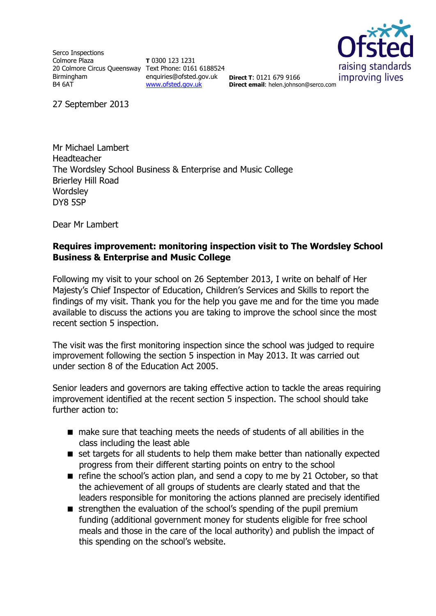Serco Inspections Colmore Plaza 20 Colmore Circus Queensway Text Phone: 0161 6188524 Birmingham B4 6AT

**T** 0300 123 1231 enquiries@ofsted.gov.uk **Direct T**: 0121 679 9166 [www.ofsted.gov.uk](http://www.ofsted.gov.uk/)



**Direct email**: helen.johnson@serco.com

27 September 2013

Mr Michael Lambert Headteacher The Wordsley School Business & Enterprise and Music College Brierley Hill Road **Wordsley** DY8 5SP

Dear Mr Lambert

## **Requires improvement: monitoring inspection visit to The Wordsley School Business & Enterprise and Music College**

Following my visit to your school on 26 September 2013, I write on behalf of Her Majesty's Chief Inspector of Education, Children's Services and Skills to report the findings of my visit. Thank you for the help you gave me and for the time you made available to discuss the actions you are taking to improve the school since the most recent section 5 inspection.

The visit was the first monitoring inspection since the school was judged to require improvement following the section 5 inspection in May 2013. It was carried out under section 8 of the Education Act 2005.

Senior leaders and governors are taking effective action to tackle the areas requiring improvement identified at the recent section 5 inspection. The school should take further action to:

- make sure that teaching meets the needs of students of all abilities in the class including the least able
- set targets for all students to help them make better than nationally expected progress from their different starting points on entry to the school
- $\blacksquare$  refine the school's action plan, and send a copy to me by 21 October, so that the achievement of all groups of students are clearly stated and that the leaders responsible for monitoring the actions planned are precisely identified
- strengthen the evaluation of the school's spending of the pupil premium funding (additional government money for students eligible for free school meals and those in the care of the local authority) and publish the impact of this spending on the school's website.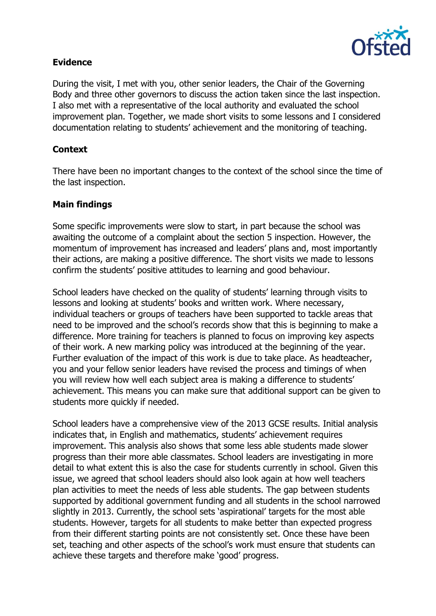

## **Evidence**

During the visit, I met with you, other senior leaders, the Chair of the Governing Body and three other governors to discuss the action taken since the last inspection. I also met with a representative of the local authority and evaluated the school improvement plan. Together, we made short visits to some lessons and I considered documentation relating to students' achievement and the monitoring of teaching.

## **Context**

There have been no important changes to the context of the school since the time of the last inspection.

# **Main findings**

Some specific improvements were slow to start, in part because the school was awaiting the outcome of a complaint about the section 5 inspection. However, the momentum of improvement has increased and leaders' plans and, most importantly their actions, are making a positive difference. The short visits we made to lessons confirm the students' positive attitudes to learning and good behaviour.

School leaders have checked on the quality of students' learning through visits to lessons and looking at students' books and written work. Where necessary, individual teachers or groups of teachers have been supported to tackle areas that need to be improved and the school's records show that this is beginning to make a difference. More training for teachers is planned to focus on improving key aspects of their work. A new marking policy was introduced at the beginning of the year. Further evaluation of the impact of this work is due to take place. As headteacher, you and your fellow senior leaders have revised the process and timings of when you will review how well each subject area is making a difference to students' achievement. This means you can make sure that additional support can be given to students more quickly if needed.

School leaders have a comprehensive view of the 2013 GCSE results. Initial analysis indicates that, in English and mathematics, students' achievement requires improvement. This analysis also shows that some less able students made slower progress than their more able classmates. School leaders are investigating in more detail to what extent this is also the case for students currently in school. Given this issue, we agreed that school leaders should also look again at how well teachers plan activities to meet the needs of less able students. The gap between students supported by additional government funding and all students in the school narrowed slightly in 2013. Currently, the school sets 'aspirational' targets for the most able students. However, targets for all students to make better than expected progress from their different starting points are not consistently set. Once these have been set, teaching and other aspects of the school's work must ensure that students can achieve these targets and therefore make 'good' progress.